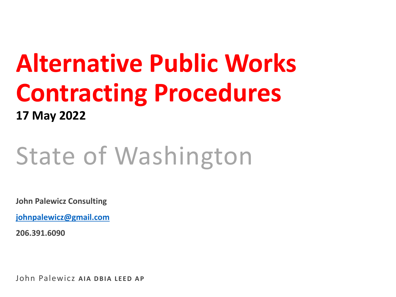# **Alternative Public Works Contracting Procedures 17 May 2022**

# State of Washington

**John Palewicz Consulting**

**[johnpalewicz@gmail.com](mailto:johnpalewicz@gmail.com)**

**206.391.6090**

John Palewicz **AIA DBIA LEED AP**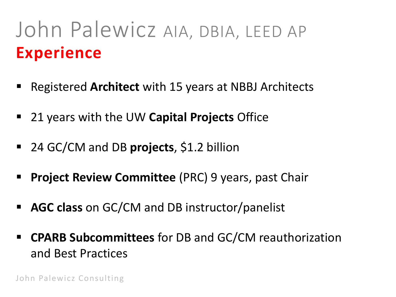# John Palewicz AIA, DBIA, LEED AP **Experience**

- Registered **Architect** with 15 years at NBBJ Architects
- 21 years with the UW **Capital Projects** Office
- 24 GC/CM and DB **projects**, \$1.2 billion
- **Project Review Committee** (PRC) 9 years, past Chair
- **AGC class** on GC/CM and DB instructor/panelist
- **CPARB Subcommittees** for DB and GC/CM reauthorization and Best Practices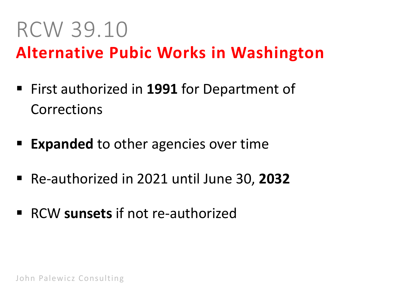# RCW 39.10

#### **Alternative Pubic Works in Washington**

- First authorized in **1991** for Department of Corrections
- **Expanded** to other agencies over time
- Re-authorized in 2021 until June 30, **2032**
- RCW **sunsets** if not re-authorized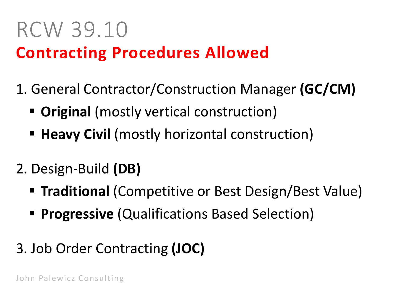#### RCW 39.10 **Contracting Procedures Allowed**

- 1. General Contractor/Construction Manager **(GC/CM)**
	- **Original** (mostly vertical construction)
	- **Heavy Civil** (mostly horizontal construction)
- 2. Design-Build **(DB)**
	- **Traditional** (Competitive or Best Design/Best Value)
	- **Progressive** (Qualifications Based Selection)
- 3. Job Order Contracting **(JOC)**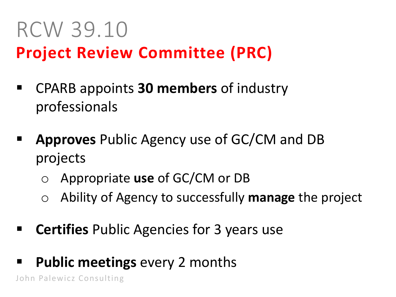#### RCW 39.10 **Project Review Committee (PRC)**

- CPARB appoints **30 members** of industry professionals
- **Approves** Public Agency use of GC/CM and DB projects
	- o Appropriate **use** of GC/CM or DB
	- o Ability of Agency to successfully **manage** the project
- **EXTE:** Certifies Public Agencies for 3 years use
- **Public meetings** every 2 months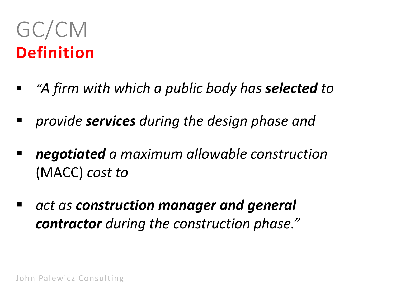# GC/CM **Definition**

- *"A firm with which a public body has selected to*
- *provide services during the design phase and*
- *negotiated a maximum allowable construction*  (MACC) *cost to*
- *act as construction manager and general contractor during the construction phase."*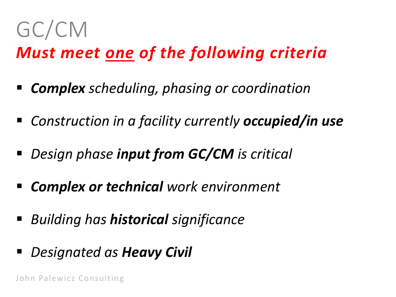# GC/CM

#### *Must meet one of the following criteria*

- *Complex scheduling, phasing or coordination*
- *Construction in a facility currently occupied/in use*
- *Design phase input from GC/CM is critical*
- *Complex or technical work environment*
- *Building has historical significance*
- *Designated as Heavy Civil*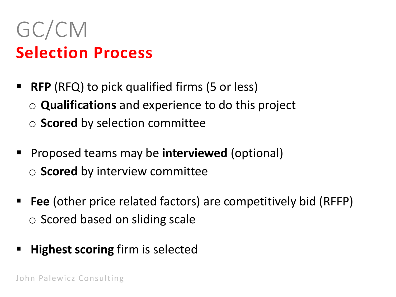# GC/CM **Selection Process**

- **RFP** (RFQ) to pick qualified firms (5 or less) o **Qualifications** and experience to do this project
	- o **Scored** by selection committee
- **Proposed teams may be interviewed (optional)** o **Scored** by interview committee
- **Fee** (other price related factors) are competitively bid (RFFP) o Scored based on sliding scale
- **Highest scoring** firm is selected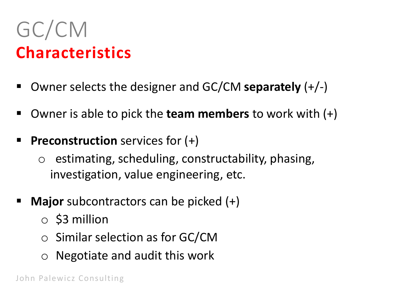# GC/CM **Characteristics**

- Owner selects the designer and GC/CM **separately** (+/-)
- Owner is able to pick the **team members** to work with (+)
- **Preconstruction** services for (+)
	- $\circ$  estimating, scheduling, constructability, phasing, investigation, value engineering, etc.
- **Major** subcontractors can be picked (+)
	- $\circ$  \$3 million
	- o Similar selection as for GC/CM
	- o Negotiate and audit this work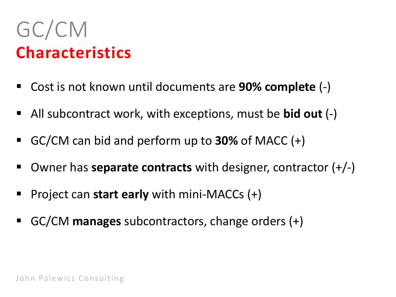# GC/CM **Characteristics**

- Cost is not known until documents are **90% complete** (-)
- All subcontract work, with exceptions, must be **bid out** (-)
- GC/CM can bid and perform up to **30%** of MACC (+)
- Owner has **separate contracts** with designer, contractor (+/-)
- Project can **start early** with mini-MACCs (+)
- GC/CM **manages** subcontractors, change orders (+)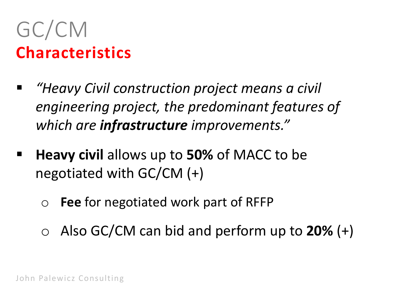# GC/CM **Characteristics**

- *"Heavy Civil construction project means a civil engineering project, the predominant features of which are infrastructure improvements."*
- **Heavy civil allows up to 50% of MACC to be** negotiated with GC/CM (+)
	- o **Fee** for negotiated work part of RFFP
	- o Also GC/CM can bid and perform up to **20%** (+)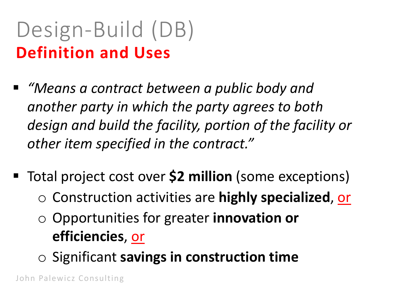# Design-Build (DB) **Definition and Uses**

- *"Means a contract between a public body and another party in which the party agrees to both design and build the facility, portion of the facility or other item specified in the contract."*
- Total project cost over **\$2 million** (some exceptions) o Construction activities are **highly specialized**, or
	- o Opportunities for greater **innovation or efficiencies**, or
	- o Significant **savings in construction time**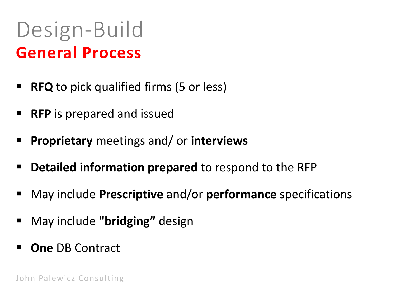#### Design-Build **General Process**

- **RFQ** to pick qualified firms (5 or less)
- **RFP** is prepared and issued
- **Proprietary** meetings and/ or **interviews**
- **PERTIME:** Detailed information prepared to respond to the RFP
- May include **Prescriptive** and/or **performance** specifications
- May include **"bridging"** design
- **One** DB Contract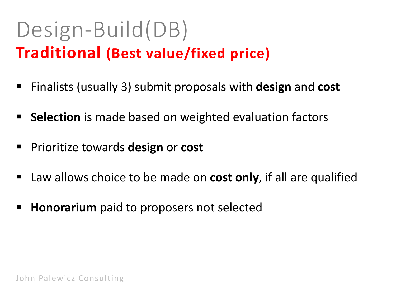# Design-Build(DB) **Traditional (Best value/fixed price)**

- Finalists (usually 3) submit proposals with **design** and **cost**
- **Selection** is made based on weighted evaluation factors
- **Prioritize towards design or cost**
- Law allows choice to be made on **cost only**, if all are qualified
- **Honorarium** paid to proposers not selected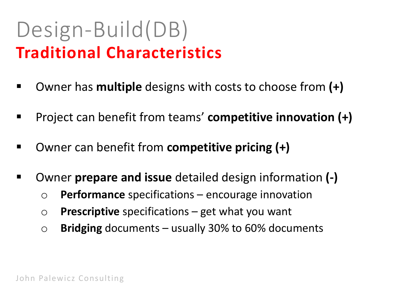### **Traditional Characteristics** Design-Build(DB)

- Owner has **multiple** designs with costs to choose from **(+)**
- Project can benefit from teams' **competitive innovation (+)**
- Owner can benefit from **competitive pricing (+)**
- Owner **prepare and issue** detailed design information **(-)**
	- o **Performance** specifications encourage innovation
	- o **Prescriptive** specifications get what you want
	- o **Bridging** documents usually 30% to 60% documents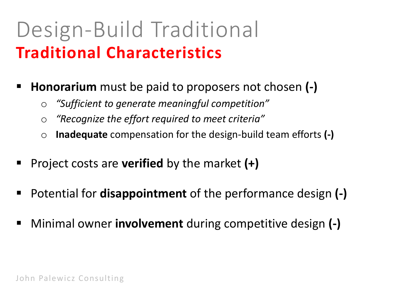# **Traditional Characteristics** Design-Build Traditional

- **Honorarium** must be paid to proposers not chosen **(-)**
	- o *"Sufficient to generate meaningful competition"*
	- o *"Recognize the effort required to meet criteria"*
	- o **Inadequate** compensation for the design-build team efforts **(-)**
- Project costs are **verified** by the market (+)
- Potential for **disappointment** of the performance design **(-)**
- Minimal owner **involvement** during competitive design **(-)**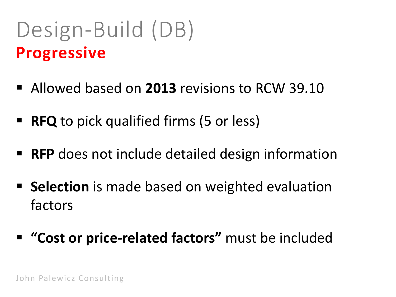# Design-Build (DB) **Progressive**

- Allowed based on **2013** revisions to RCW 39.10
- **RFQ** to pick qualified firms (5 or less)
- **RFP** does not include detailed design information
- **Selection** is made based on weighted evaluation factors
- **"Cost or price-related factors"** must be included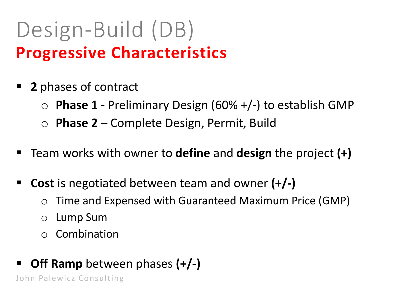# Design-Build (DB) **Progressive Characteristics**

- **2** phases of contract
	- o **Phase 1** Preliminary Design (60% +/-) to establish GMP
	- o **Phase 2** Complete Design, Permit, Build
- Team works with owner to **define** and **design** the project **(+)**
- **Cost** is negotiated between team and owner **(+/-)**
	- o Time and Expensed with Guaranteed Maximum Price (GMP)
	- o Lump Sum
	- o Combination
- **Off Ramp** between phases **(+/-)**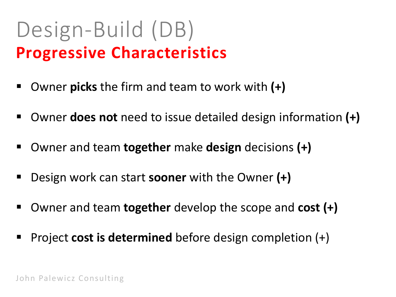## **Progressive Characteristics** Design-Build (DB)

- Owner **picks** the firm and team to work with **(+)**
- Owner **does not** need to issue detailed design information **(+)**
- Owner and team **together** make **design** decisions **(+)**
- Design work can start **sooner** with the Owner **(+)**
- Owner and team **together** develop the scope and **cost (+)**
- Project **cost is determined** before design completion (+)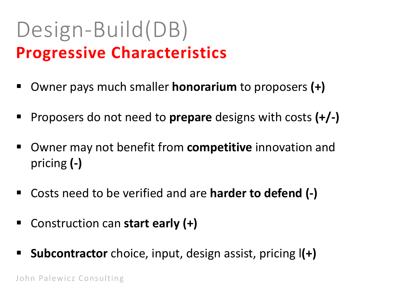#### **Progressive Characteristics** Design-Build(DB)

- Owner pays much smaller **honorarium** to proposers **(+)**
- Proposers do not need to **prepare** designs with costs **(+/-)**
- Owner may not benefit from **competitive** innovation and pricing **(-)**
- Costs need to be verified and are **harder to defend (-)**
- Construction can **start early (+)**
- **Subcontractor** choice, input, design assist, pricing l**(+)**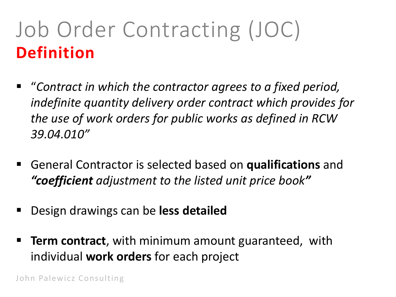# Job Order Contracting (JOC) **Definition**

- "*Contract in which the contractor agrees to a fixed period, indefinite quantity delivery order contract which provides for the use of work orders for public works as defined in RCW 39.04.010"*
- General Contractor is selected based on **qualifications** and *"coefficient adjustment to the listed unit price book"*
- Design drawings can be **less detailed**
- **Term contract**, with minimum amount guaranteed, with individual **work orders** for each project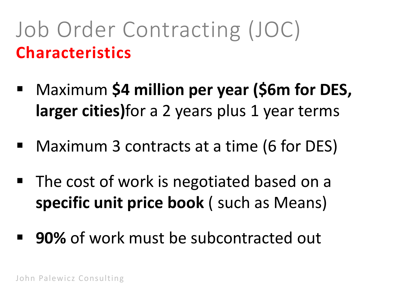# Job Order Contracting (JOC) **Characteristics**

- Maximum \$4 million per year (\$6m for DES, **larger cities)**for a 2 years plus 1 year terms
- Maximum 3 contracts at a time (6 for DES)
- The cost of work is negotiated based on a **specific unit price book** ( such as Means)
- **90%** of work must be subcontracted out